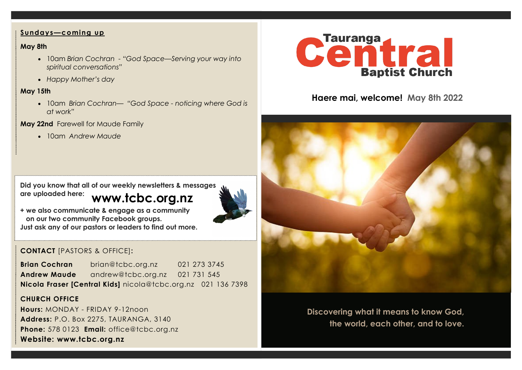#### **Sundays—coming up**

### **May 8th**

- 10am *Brian Cochran - "God Space—Serving your way into spiritual conversations"*
- *Happy Mother's day*

### **May 15th**

• 10am *Brian Cochran— "God Space - noticing where God is at work"*

## **May 22nd** Farewell for Maude Family

• 10am *Andrew Maude* 

**www.tcbc.org.nz Did you know that all of our weekly newsletters & messages are uploaded here:** 



**+ we also communicate & engage as a community on our two community Facebook groups. Just ask any of our pastors or leaders to find out more.**

# **CONTACT** [PASTORS & OFFICE]**:**

**Brian Cochran** brian@tcbc.org.nz 021 273 3745 **Andrew Maude** andrew@tcbc.org.nz021 731 545 **Nicola Fraser [Central Kids]** nicola@tcbc.org.nz021 136 7398

# **CHURCH OFFICE**

**Hours:** MONDAY - FRIDAY 9-12noon **Address:** P.O. Box 2275, TAURANGA, 3140 **Phone:** 578 0123 **Email:** office@tcbc.org.nz **Website: www.tcbc.org.nz**



# **Haere mai, welcome! May 8th 2022**



**Discovering what it means to know God, the world, each other, and to love.**